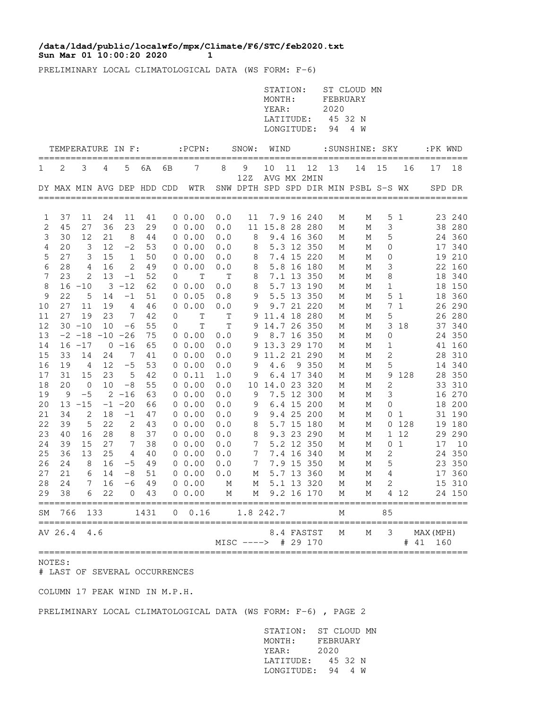## **Sun Mar 01 10:00:20 2020 1 /data/ldad/public/localwfo/mpx/Climate/F6/STC/feb2020.txt**

PRELIMINARY LOCAL CLIMATOLOGICAL DATA (WS FORM: F-6)

|      |                            |             |                        |              |           |             |              |                       |                                             | STATION:<br>MONTH:<br>YEAR:<br>LATITUDE:<br>LONGITUDE: |    |             | FEBRUARY<br>2020<br>94 | ST CLOUD MN<br>45 32 N<br>4 W |              |              |                          |                   |
|------|----------------------------|-------------|------------------------|--------------|-----------|-------------|--------------|-----------------------|---------------------------------------------|--------------------------------------------------------|----|-------------|------------------------|-------------------------------|--------------|--------------|--------------------------|-------------------|
|      | TEMPERATURE IN F:          |             |                        |              |           |             | $:$ PCPN $:$ |                       | SNOW:                                       | WIND                                                   |    |             |                        | : SUNSHINE: SKY               |              |              | :PK WND                  |                   |
| 1    | 2                          | 3           | 4                      | 5            | 6A        | 6В          | 7            | 8                     | 9                                           | 10                                                     | 11 | 12          | 13                     | 14                            | 15           | 16           | 17                       | $=$ $=$ $=$<br>18 |
|      | DY MAX MIN AVG DEP HDD CDD |             |                        |              |           |             | WTR          |                       | 12Z<br>SNW DPTH SPD SPD DIR MIN PSBL S-S WX |                                                        |    | AVG MX 2MIN |                        |                               |              |              |                          | SPD DR            |
|      |                            |             |                        |              |           |             |              |                       |                                             |                                                        |    |             |                        |                               |              |              |                          |                   |
| 1    | 37                         | 11          | 24                     | 11           | 41        |             | $0\;\;0.00$  | 0.0                   | 11                                          |                                                        |    | 7.9 16 240  | М                      | Μ                             | 5            | 1            |                          | 23 240            |
| 2    | 45                         | 27          | 36                     | 23           | 29        |             | $0\;\;0.00$  | 0.0                   |                                             | 11 15.8 28 280                                         |    |             | М                      | М                             | 3            |              |                          | 38 280            |
| 3    | 30                         | 12          | 21                     | 8            | 44        |             | $0\;\;0.00$  | 0.0                   | 8                                           |                                                        |    | 9.4 16 360  | М                      | М                             | 5            |              |                          | 24 360            |
| 4    | 20                         | 3           | 12                     | $-2$         | 53        |             | $0\;\;0.00$  | 0.0                   | 8                                           |                                                        |    | 5.3 12 350  | М                      | М                             | 0            |              |                          | 17 340            |
| 5    | 27                         | 3           | 15                     | $\mathbf{1}$ | 50        |             | $0\;\;0.00$  | 0.0                   | 8                                           |                                                        |    | 7.4 15 220  | М                      | М                             | 0            |              | 19                       | 210               |
| 6    | 28                         | 4           | 16                     | 2            | 49        | 0           | 0.00         | 0.0                   | 8                                           |                                                        |    | 5.8 16 180  | М                      | М                             | 3            |              |                          | 22 160            |
| 7    | 23                         | 2           | 13                     | $-1$         | 52        | 0           | Т            | Т                     | 8                                           |                                                        |    | 7.1 13 350  | М                      | Μ                             | 8            |              |                          | 18 340            |
| 8    |                            | $16 - 10$   | 3                      | $-12$        | 62        |             | $0\;\;0.00$  | 0.0                   | 8                                           |                                                        |    | 5.7 13 190  | М                      | М                             | 1            |              |                          | 18 150            |
| 9    | 22                         | 5           | 14                     | $-1$         | 51        |             | $0\;\;0.05$  | 0.8                   | 9                                           |                                                        |    | 5.5 13 350  | М                      | М                             | 5            | 1            |                          | 18 360            |
| $10$ | 27                         | 11          | 19                     | 4            | 46        | 0           | 0.00         | 0.0                   | 9                                           |                                                        |    | 9.7 21 220  | М                      | М                             | 7            | $\mathbf{1}$ |                          | 26 290            |
| 11   | 27                         | 19          | 23                     | 7            | 42        | $\mathbf 0$ | $\mathbf T$  | $\mathbb T$           |                                             | 9 11.4 18 280                                          |    |             | М                      | Μ                             | 5            |              |                          | 26 280            |
| 12   |                            | $30 - 10$   | 10                     | $-6$         | 55        | 0           | T            | $\mathbf T$           | 9                                           |                                                        |    | 14.7 26 350 | М                      | М                             | 3            | 18           |                          | 37 340            |
| 13   |                            |             | $-2$ $-18$ $-10$ $-26$ |              | 75        |             | 00.00        | ${\bf 0}$ . ${\bf 0}$ | 9                                           |                                                        |    | 8.7 16 350  | М                      | М                             | 0            |              |                          | 24 350            |
| 14   |                            | $16 - 17$   |                        | $0 - 16$     | 65        |             | $0\;\;0.00$  | 0.0                   | 9                                           |                                                        |    | 13.3 29 170 | М                      | М                             | 1            |              |                          | 41 160            |
| 15   | 33                         | 14          | 24                     | 7            | 41        |             | $0\;\;0.00$  | 0.0                   | 9                                           |                                                        |    | 11.2 21 290 | М                      | М                             | 2            |              | 28                       | 310               |
| 16   | 19                         | 4           | 12                     | $-5$         | 53        |             | $0\;\;0.00$  | 0.0                   | 9                                           | 4.6                                                    |    | 9 350       | М                      | М                             | 5            |              |                          | 14 340            |
| 17   | 31                         | 15          | 23                     | $\mathsf S$  | 42        |             | 0 0.11       | 1.0                   | 9                                           |                                                        |    | 6.4 17 340  | М                      | Μ                             | 9            | 128          |                          | 28 350            |
| 18   | 20                         | $\mathbf 0$ | 10                     | $-8$         | 55        |             | 00.00        | 0.0                   | 10                                          |                                                        |    | 14.0 23 320 | М                      | М                             | 2            |              |                          | 33 310            |
| 19   | 9                          | $-5$        |                        | $2 - 16$     | 63        |             | 00.00        | 0.0                   | 9                                           |                                                        |    | 7.5 12 300  | М                      | Μ                             | 3            |              |                          | 16 270            |
| 20   | 13                         | $-15$       |                        | $-1 -20$     | 66        |             | $0\;\;0.00$  | 0.0                   | 9                                           |                                                        |    | 6.4 15 200  | М                      | Μ                             | 0            |              |                          | 18 200            |
| 21   | 34                         | 2           | 18                     | $-1$         | 47        |             | $0\;\;0.00$  | 0.0                   | 9                                           |                                                        |    | 9.4 25 200  | М                      | М                             | 0            | 1            |                          | 31 190            |
| 22   | 39                         | 5           | 22                     | $\sqrt{2}$   | 43        |             | 00.00        | 0.0                   | 8                                           |                                                        |    | 5.7 15 180  | М                      | М                             |              | 0 128        |                          | 19 180            |
| 23   | 40                         | 16          | 28                     | 8            | 37        |             | 00.00        | 0.0                   | 8                                           |                                                        |    | 9.3 23 290  | М                      | М                             | $\mathbf{1}$ | 12           | 29                       | 290               |
| 24   | 39                         | 15          | 27                     | 7            | 38        |             | 00.00        | 0.0                   | 7                                           |                                                        |    | 5.2 12 350  | М                      | М                             | $\mathbf{0}$ | $\mathbf{1}$ | 17                       | 10                |
| 25   | 36                         | 13          | 25                     | 4            | 40        |             | 00.00        | 0.0                   | 7                                           |                                                        |    | 7.4 16 340  | М                      | М                             | 2            |              | 24                       | 350               |
| 26   | 24                         | 8           | 16                     | $-5$         | 49        |             | 00.00        | 0.0                   | 7                                           |                                                        |    | 7.9 15 350  | М                      | М                             | 5            |              |                          | 23 350            |
| 27   | 21                         | 6           | 14                     | $-8$         | 51        |             | 00.00        | 0.0                   | М                                           |                                                        |    | 5.7 13 360  | М                      | М                             | 4            |              |                          | 17 360            |
| 28   | 24                         | 7           | 16                     | -6           | 49        |             | 0 0.00       | М                     | М                                           |                                                        |    | 5.1 13 320  | М                      | М                             | 2            |              |                          | 15 310            |
|      | 29 38                      | 6           | 22                     |              | $0 \t 43$ |             | 0 0.00       | М                     | М                                           |                                                        |    | 9.2 16 170  | М                      | М                             |              | 4 12         |                          | 24 150            |
|      | SM 766                     | 133         |                        |              | 1431      | 0           | 0.16         |                       | 1.8 242.7                                   |                                                        |    |             | М                      |                               | 85           |              |                          |                   |
|      | AV 26.4                    |             | 4.6                    |              |           |             |              |                       | MISC ----> # 29 170                         |                                                        |    | 8.4 FASTST  | М                      | Μ                             | 3            |              | MAX (MPH)<br># 41<br>160 |                   |

NOTES:

# LAST OF SEVERAL OCCURRENCES

COLUMN 17 PEAK WIND IN M.P.H.

PRELIMINARY LOCAL CLIMATOLOGICAL DATA (WS FORM: F-6) , PAGE 2

 STATION: ST CLOUD MN MONTH: FEBRUARY YEAR: 2020 LATITUDE: 45 32 N LONGITUDE: 94 4 W